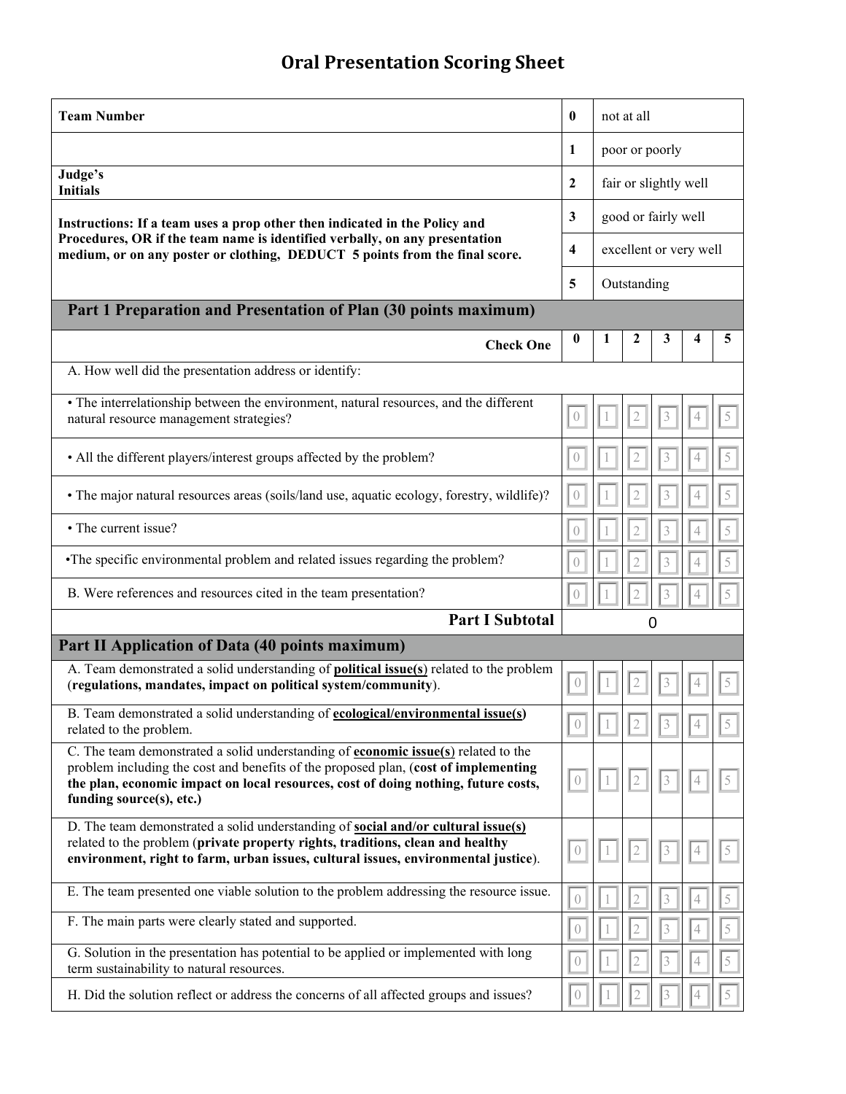## **Oral Presentation Scoring Sheet**

| <b>Team Number</b>                                                                                                                                                                                                                                                                                 | $\bf{0}$                      | not at all             |                |                         |                |                |  |  |  |  |  |  |
|----------------------------------------------------------------------------------------------------------------------------------------------------------------------------------------------------------------------------------------------------------------------------------------------------|-------------------------------|------------------------|----------------|-------------------------|----------------|----------------|--|--|--|--|--|--|
|                                                                                                                                                                                                                                                                                                    | 1                             | poor or poorly         |                |                         |                |                |  |  |  |  |  |  |
| Judge's<br><b>Initials</b>                                                                                                                                                                                                                                                                         | $\overline{2}$                | fair or slightly well  |                |                         |                |                |  |  |  |  |  |  |
| Instructions: If a team uses a prop other then indicated in the Policy and<br>Procedures, OR if the team name is identified verbally, on any presentation<br>medium, or on any poster or clothing, DEDUCT 5 points from the final score.                                                           |                               | good or fairly well    |                |                         |                |                |  |  |  |  |  |  |
|                                                                                                                                                                                                                                                                                                    |                               | excellent or very well |                |                         |                |                |  |  |  |  |  |  |
|                                                                                                                                                                                                                                                                                                    |                               | Outstanding            |                |                         |                |                |  |  |  |  |  |  |
| Part 1 Preparation and Presentation of Plan (30 points maximum)                                                                                                                                                                                                                                    |                               |                        |                |                         |                |                |  |  |  |  |  |  |
| <b>Check One</b>                                                                                                                                                                                                                                                                                   | 0                             | 1                      | 2              | 3                       | 4              | 5              |  |  |  |  |  |  |
| A. How well did the presentation address or identify:                                                                                                                                                                                                                                              |                               |                        |                |                         |                |                |  |  |  |  |  |  |
| • The interrelationship between the environment, natural resources, and the different<br>natural resource management strategies?                                                                                                                                                                   | $\overline{0}$                |                        | 2              | 3                       | 4              | $\mathcal{S}$  |  |  |  |  |  |  |
| • All the different players/interest groups affected by the problem?                                                                                                                                                                                                                               | $\left( \right)$              |                        | $\mathfrak{2}$ | $\mathfrak{Z}$          | 4              | 5              |  |  |  |  |  |  |
| • The major natural resources areas (soils/land use, aquatic ecology, forestry, wildlife)?                                                                                                                                                                                                         | $\left( \right)$              |                        | $\overline{2}$ | $\mathfrak{Z}$          | $\overline{4}$ | $\,$ $\,$ $\,$ |  |  |  |  |  |  |
| • The current issue?                                                                                                                                                                                                                                                                               | $\left( \right)$              | $\mathbf{1}$           | $\sqrt{2}$     | $\overline{3}$          | $\overline{4}$ | $\bar{5}$      |  |  |  |  |  |  |
| •The specific environmental problem and related issues regarding the problem?                                                                                                                                                                                                                      | $\begin{matrix} \end{matrix}$ |                        | $\overline{2}$ | $\overline{3}$          | 4              | 5              |  |  |  |  |  |  |
| B. Were references and resources cited in the team presentation?                                                                                                                                                                                                                                   | $\sqrt{ }$                    |                        | $\overline{2}$ | 3                       | 4              | 5              |  |  |  |  |  |  |
| <b>Part I Subtotal</b>                                                                                                                                                                                                                                                                             |                               |                        | 0              |                         |                |                |  |  |  |  |  |  |
| Part II Application of Data (40 points maximum)                                                                                                                                                                                                                                                    |                               |                        |                |                         |                |                |  |  |  |  |  |  |
| A. Team demonstrated a solid understanding of <b>political issue(s)</b> related to the problem<br>(regulations, mandates, impact on political system/community).                                                                                                                                   | $\Large{0}$                   |                        | 2              | $\mathfrak{Z}$          | $\overline{4}$ | 5              |  |  |  |  |  |  |
| B. Team demonstrated a solid understanding of ecological/environmental issue(s)<br>related to the problem.                                                                                                                                                                                         |                               |                        |                |                         |                |                |  |  |  |  |  |  |
| C. The team demonstrated a solid understanding of <b>economic issue(s)</b> related to the<br>problem including the cost and benefits of the proposed plan, (cost of implementing<br>the plan, economic impact on local resources, cost of doing nothing, future costs,<br>funding source(s), etc.) | $\left( \right)$              |                        | $\mathbf{2}$   | $\overline{\mathbf{3}}$ | 4              | 5              |  |  |  |  |  |  |
| D. The team demonstrated a solid understanding of <b>social and/or cultural issue(s)</b><br>related to the problem (private property rights, traditions, clean and healthy<br>environment, right to farm, urban issues, cultural issues, environmental justice).                                   | $\left( \right)$              |                        | 2              | 3                       | 4              | $\mathcal{S}$  |  |  |  |  |  |  |
| E. The team presented one viable solution to the problem addressing the resource issue.                                                                                                                                                                                                            | $\left( \right)$              |                        | 2              | 3                       | 4              | 5              |  |  |  |  |  |  |
| F. The main parts were clearly stated and supported.                                                                                                                                                                                                                                               | $\theta$                      |                        |                | $\mathfrak{Z}$          | 4              | 5              |  |  |  |  |  |  |
| G. Solution in the presentation has potential to be applied or implemented with long<br>term sustainability to natural resources.                                                                                                                                                                  | $\overline{0}$                |                        |                | $\overline{3}$          |                | 5              |  |  |  |  |  |  |
| H. Did the solution reflect or address the concerns of all affected groups and issues?                                                                                                                                                                                                             | $\left( \right)$              |                        |                |                         |                |                |  |  |  |  |  |  |